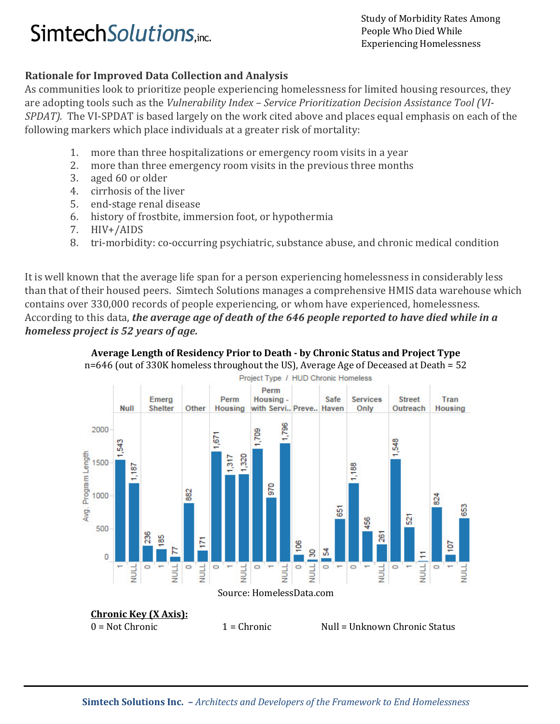# Simtech Solutions, inc.<br>
Simtech Solutions, inc.

People Who Died While Experiencing Homelessness

## Rationale for Improved Data Collection and Analysis

As communities look to prioritize people experiencing homelessness for limited housing resources, they are adopting tools such as the Vulnerability Index – Service Prioritization Decision Assistance Tool (VI-SPDAT). The VI-SPDAT is based largely on the work cited above and places equal emphasis on each of the following markers which place individuals at a greater risk of mortality:

- 1. more than three hospitalizations or emergency room visits in a year
- 2. more than three emergency room visits in the previous three months
- 3. aged 60 or older
- 4. cirrhosis of the liver
- 5. end-stage renal disease
- 6. history of frostbite, immersion foot, or hypothermia
- 7. HIV+/AIDS
- 8. tri-morbidity: co-occurring psychiatric, substance abuse, and chronic medical condition

It is well known that the average life span for a person experiencing homelessness in considerably less than that of their housed peers. Simtech Solutions manages a comprehensive HMIS data warehouse which contains over 330,000 records of people experiencing, or whom have experienced, homelessness. According to this data, the average age of death of the 646 people reported to have died while in a homeless project is 52 years of age.



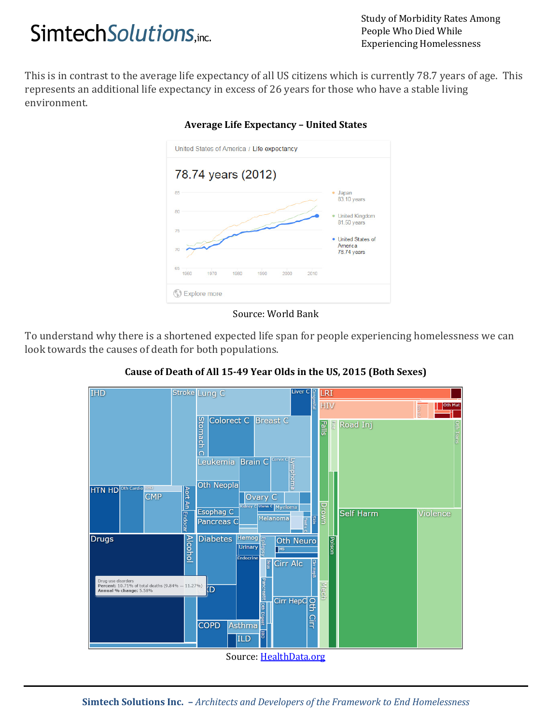# Study of Morbidity Rates Among<br> **Simtech Solutions**, inc.<br>
Functionary and People Who Died While

People Who Died While Experiencing Homelessness

This is in contrast to the average life expectancy of all US citizens which is currently 78.7 years of age. This represents an additional life expectancy in excess of 26 years for those who have a stable living environment.



### Average Life Expectancy – United States

#### Source: World Bank

To understand why there is a shortened expected life span for people experiencing homelessness we can look towards the causes of death for both populations.



## Cause of Death of All 15-49 Year Olds in the US, 2015 (Both Sexes)

Source: HealthData.org